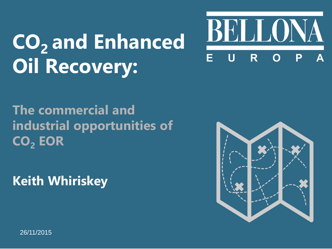# **CO2 and Enhanced Oil Recovery:**



### **The commercial and industrial opportunities of CO<sup>2</sup> EOR**

**Keith Whiriskey**



26/11/2015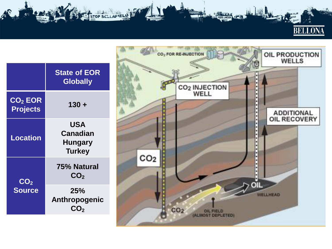

|                                        | <b>State of EOR</b><br><b>Globally</b>                    |
|----------------------------------------|-----------------------------------------------------------|
| CO <sub>2</sub> EOR<br><b>Projects</b> | $130 +$                                                   |
| <b>Location</b>                        | <b>USA</b><br>Canadian<br><b>Hungary</b><br><b>Turkey</b> |
| CO <sub>2</sub><br><b>Source</b>       | <b>75% Natural</b><br><b>CO</b>                           |
|                                        | 25%<br>Anthropogenic<br><b>CO</b> 2                       |

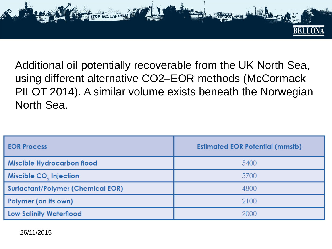

Additional oil potentially recoverable from the UK North Sea, using different alternative CO2–EOR methods (McCormack PILOT 2014). A similar volume exists beneath the Norwegian North Sea.

| <b>EOR Process</b>                       | <b>Estimated EOR Potential (mmstb)</b> |
|------------------------------------------|----------------------------------------|
| <b>Miscible Hydrocarbon flood</b>        | 5400                                   |
| Miscible CO <sub>2</sub> Injection       | 5700                                   |
| <b>Surfactant/Polymer (Chemical EOR)</b> | 4800                                   |
| Polymer (on its own)                     | 2100                                   |
| <b>Low Salinity Waterflood</b>           | 2000                                   |

26/11/2015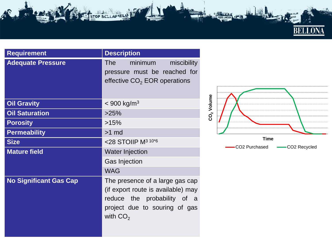

| <b>Requirement</b>            | <b>Description</b>                                                                                                                                  |
|-------------------------------|-----------------------------------------------------------------------------------------------------------------------------------------------------|
| <b>Adequate Pressure</b>      | minimum<br><b>The</b> The<br>miscibility<br>pressure must be reached for<br>effective CO <sub>2</sub> EOR operations                                |
| <b>Oil Gravity</b>            | $<$ 900 kg/m <sup>3</sup>                                                                                                                           |
| <b>Oil Saturation</b>         | >25%                                                                                                                                                |
| <b>Porosity</b>               | >15%                                                                                                                                                |
| <b>Permeability</b>           | $>1$ md                                                                                                                                             |
| <b>Size</b>                   | $<$ 28 STOIIP M <sup>3 10*6</sup>                                                                                                                   |
| <b>Mature field</b>           | <b>Water Injection</b>                                                                                                                              |
|                               | <b>Gas Injection</b>                                                                                                                                |
|                               | <b>WAG</b>                                                                                                                                          |
| <b>No Significant Gas Cap</b> | The presence of a large gas cap<br>(if export route is available) may<br>reduce the probability of a<br>project due to souring of gas<br>with $CO2$ |

STOP SELLAFIELL



**EDD LAKSE**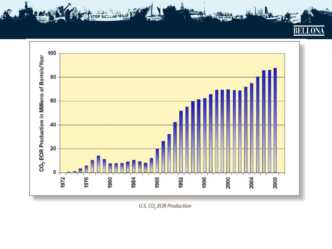**BELLOI** 



**REDD LAKSEN** 

STOP SELLAFIEL

U.S. CO<sub>2</sub> EOR Production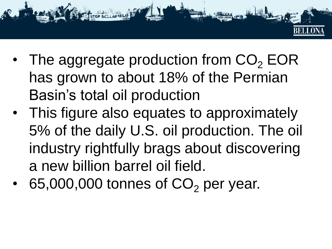- - The aggregate production from  $CO<sub>2</sub> EOR$ has grown to about 18% of the Permian Basin's total oil production
	- This figure also equates to approximately 5% of the daily U.S. oil production. The oil industry rightfully brags about discovering a new billion barrel oil field.
	- 65,000,000 tonnes of  $CO<sub>2</sub>$  per year.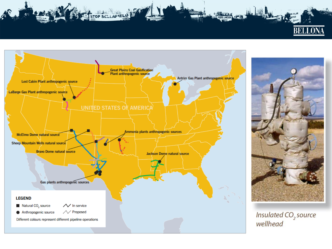



STOP SELLAFIELD



REDD LAKSEN

Insulated CO<sub>2</sub> source wellhead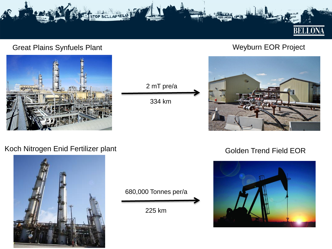

#### Great Plains Synfuels Plant Weyburn EOR Project







#### Koch Nitrogen Enid Fertilizer plant



680,000 Tonnes per/a

225 km

#### Golden Trend Field EOR

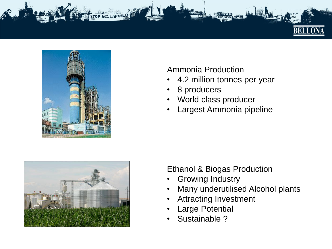



#### Ammonia Production

- 4.2 million tonnes per year
- 8 producers
- World class producer
- Largest Ammonia pipeline



### Ethanol & Biogas Production

- **Growing Industry**
- Many underutilised Alcohol plants
- Attracting Investment
- **Large Potential**
- Sustainable ?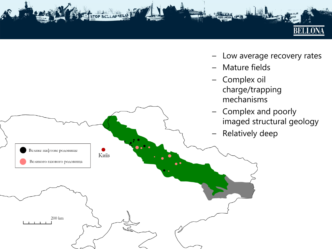

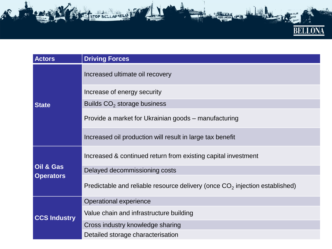

| <b>Actors</b>                 | <b>Driving Forces</b>                                                         |
|-------------------------------|-------------------------------------------------------------------------------|
| <b>State</b>                  | Increased ultimate oil recovery                                               |
|                               | Increase of energy security                                                   |
|                               | Builds $CO2$ storage business                                                 |
|                               | Provide a market for Ukrainian goods – manufacturing                          |
|                               | Increased oil production will result in large tax benefit                     |
| Oil & Gas<br><b>Operators</b> | Increased & continued return from existing capital investment                 |
|                               | Delayed decommissioning costs                                                 |
|                               | Predictable and reliable resource delivery (once $CO2$ injection established) |
| <b>CCS Industry</b>           | Operational experience                                                        |
|                               | Value chain and infrastructure building                                       |
|                               | Cross industry knowledge sharing                                              |
|                               | Detailed storage characterisation                                             |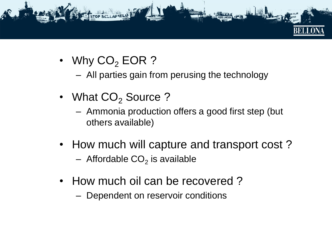

- Why  $CO<sub>2</sub>$  EOR ?
	- All parties gain from perusing the technology
- What  $CO<sub>2</sub>$  Source ?
	- Ammonia production offers a good first step (but others available)
- How much will capture and transport cost ?
	- $-$  Affordable CO<sub>2</sub> is available
- How much oil can be recovered ?
	- Dependent on reservoir conditions